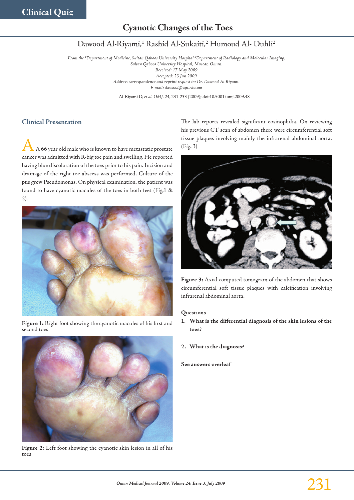# **Cyanotic Changes of the Toes**

## Dawood Al-Riyami,<sup>1</sup> Rashid Al-Sukaiti,<sup>2</sup> Humoud Al- Duhli<sup>2</sup>

*From the 1 Department of Medicine, Sultan Qaboos University Hospital 2 Department of Radiology and Molecular Imaging, Sultan Qaboos University Hospital, Muscat, Oman. Received: 17 May 2009 Accepted: 23 Jun 2009 Address correspondence and reprint request to: Dr. Dawood Al-Riyami. E-mail: dawood@squ.edu.om*

Al-Riyami D, *et al. OMJ.* 24, 231-233 (2009); doi:10.5001/omj.2009.48

### **Clinical Presentation**

A A 66 year old male who is known to have metastatic prostate cancer was admitted with R-big toe pain and swelling. He reported having blue discoloration of the toes prior to his pain. Incision and drainage of the right toe abscess was performed. Culture of the pus grew Pseudomonas. On physical examination, the patient was found to have cyanotic macules of the toes in both feet (Fig.1 & 2).



**Figure 1:** Right foot showing the cyanotic macules of his first and second toes



**Figure 2:** Left foot showing the cyanotic skin lesion in all of his toes

The lab reports revealed significant eosinophilia. On reviewing his previous CT scan of abdomen there were circumferential soft tissue plaques involving mainly the infrarenal abdominal aorta. (Fig. 3)



**Figure 3:** Axial computed tomogram of the abdomen that shows circumferential soft tissue plaques with calcification involving infrarenal abdominal aorta.

#### **Questions**

- **1. What is the differential diagnosis of the skin lesions of the toes?**
- **2. What is the diagnosis?**

**See answers overleaf**